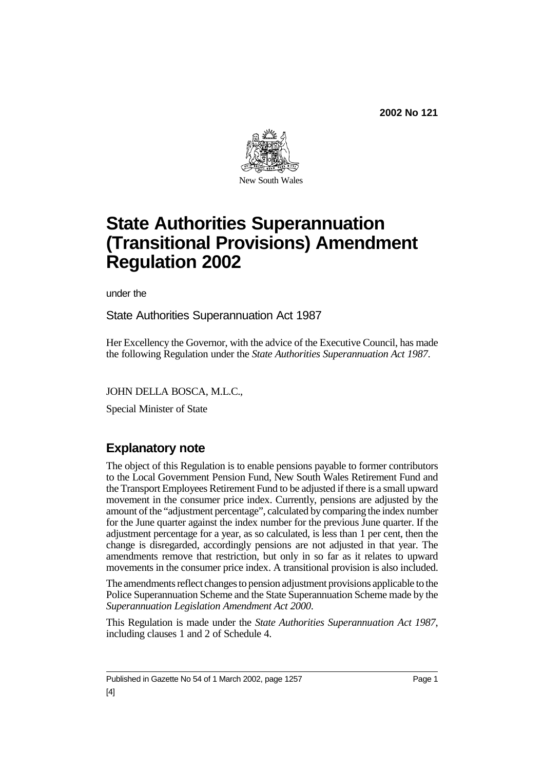**2002 No 121**



# **State Authorities Superannuation (Transitional Provisions) Amendment Regulation 2002**

under the

State Authorities Superannuation Act 1987

Her Excellency the Governor, with the advice of the Executive Council, has made the following Regulation under the *State Authorities Superannuation Act 1987*.

JOHN DELLA BOSCA, M.L.C.,

Special Minister of State

## **Explanatory note**

The object of this Regulation is to enable pensions payable to former contributors to the Local Government Pension Fund, New South Wales Retirement Fund and the Transport Employees Retirement Fund to be adjusted if there is a small upward movement in the consumer price index. Currently, pensions are adjusted by the amount of the "adjustment percentage", calculated by comparing the index number for the June quarter against the index number for the previous June quarter. If the adjustment percentage for a year, as so calculated, is less than 1 per cent, then the change is disregarded, accordingly pensions are not adjusted in that year. The amendments remove that restriction, but only in so far as it relates to upward movements in the consumer price index. A transitional provision is also included.

The amendments reflect changes to pension adjustment provisions applicable to the Police Superannuation Scheme and the State Superannuation Scheme made by the *Superannuation Legislation Amendment Act 2000*.

This Regulation is made under the *State Authorities Superannuation Act 1987*, including clauses 1 and 2 of Schedule 4.

Published in Gazette No 54 of 1 March 2002, page 1257 Page 1 [4]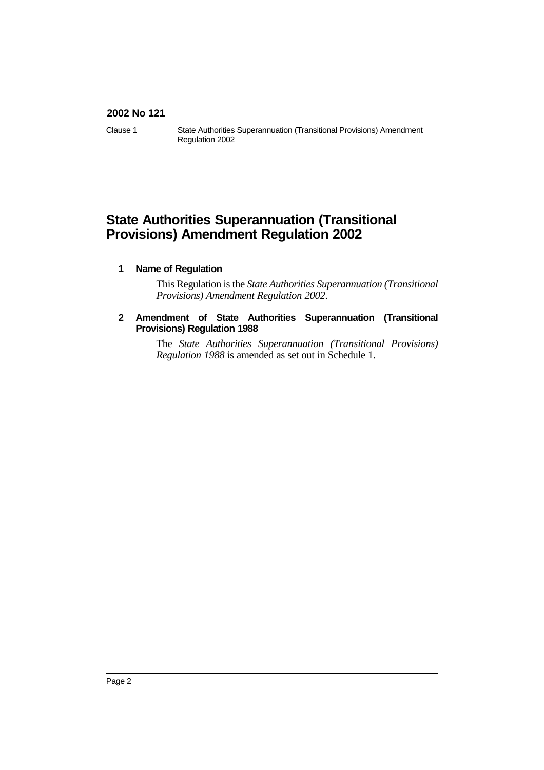#### **2002 No 121**

Clause 1 State Authorities Superannuation (Transitional Provisions) Amendment Regulation 2002

### **State Authorities Superannuation (Transitional Provisions) Amendment Regulation 2002**

#### **1 Name of Regulation**

This Regulation is the *State Authorities Superannuation (Transitional Provisions) Amendment Regulation 2002*.

#### **2 Amendment of State Authorities Superannuation (Transitional Provisions) Regulation 1988**

The *State Authorities Superannuation (Transitional Provisions) Regulation 1988* is amended as set out in Schedule 1.